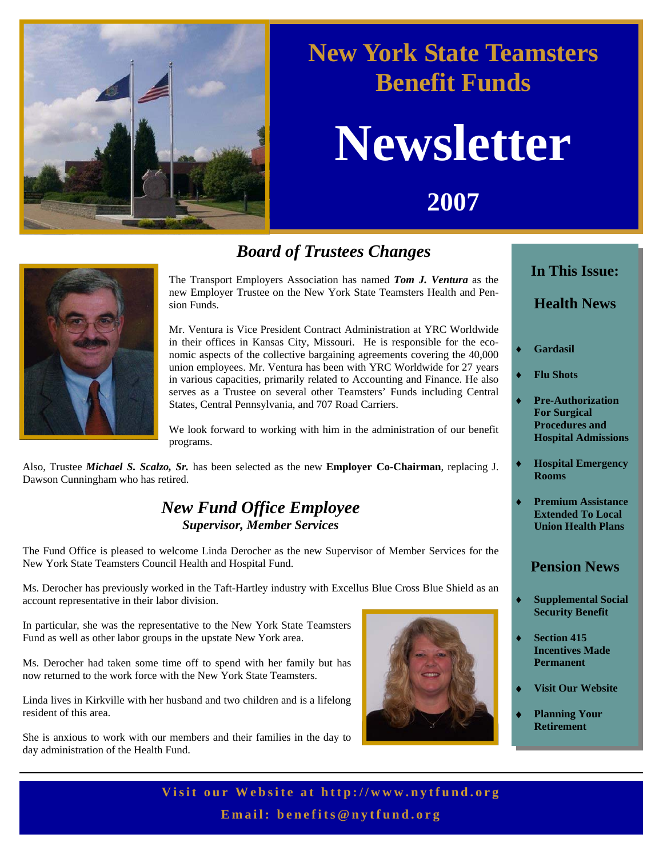

### **New York State Teamsters Benefit Funds**

# **Newsletter**

**2007** 



#### *Board of Trustees Changes*

The Transport Employers Association has named *Tom J. Ventura* as the new Employer Trustee on the New York State Teamsters Health and Pension Funds.

Mr. Ventura is Vice President Contract Administration at YRC Worldwide in their offices in Kansas City, Missouri. He is responsible for the economic aspects of the collective bargaining agreements covering the 40,000 union employees. Mr. Ventura has been with YRC Worldwide for 27 years in various capacities, primarily related to Accounting and Finance. He also serves as a Trustee on several other Teamsters' Funds including Central States, Central Pennsylvania, and 707 Road Carriers.

We look forward to working with him in the administration of our benefit programs.

Also, Trustee *Michael S. Scalzo, Sr.* has been selected as the new **Employer Co-Chairman**, replacing J. Dawson Cunningham who has retired.

#### *New Fund Office Employee Supervisor, Member Services*

The Fund Office is pleased to welcome Linda Derocher as the new Supervisor of Member Services for the New York State Teamsters Council Health and Hospital Fund.

Ms. Derocher has previously worked in the Taft-Hartley industry with Excellus Blue Cross Blue Shield as an account representative in their labor division.

In particular, she was the representative to the New York State Teamsters Fund as well as other labor groups in the upstate New York area.

Ms. Derocher had taken some time off to spend with her family but has now returned to the work force with the New York State Teamsters.

Linda lives in Kirkville with her husband and two children and is a lifelong resident of this area.

She is anxious to work with our members and their families in the day to day administration of the Health Fund.



### **In This Issue:**

#### **Health News**

- Gardasil
- ♦ **Flu Shots**
- ♦ **Pre-Authorization For Surgical Procedures and Hospital Admissions**
- **Hospital Emergency Rooms**
- **Premium Assistance Extended To Local Union Health Plans**

#### **Pension News**

- **Supplemental Social Security Benefit**
- **Section 415 Incentives Made Permanent**
- **Visit Our Website**
- **Planning Your Retirement**

Visit our Website at http://www.nytfund.org **Email: benefits@nytfund.org**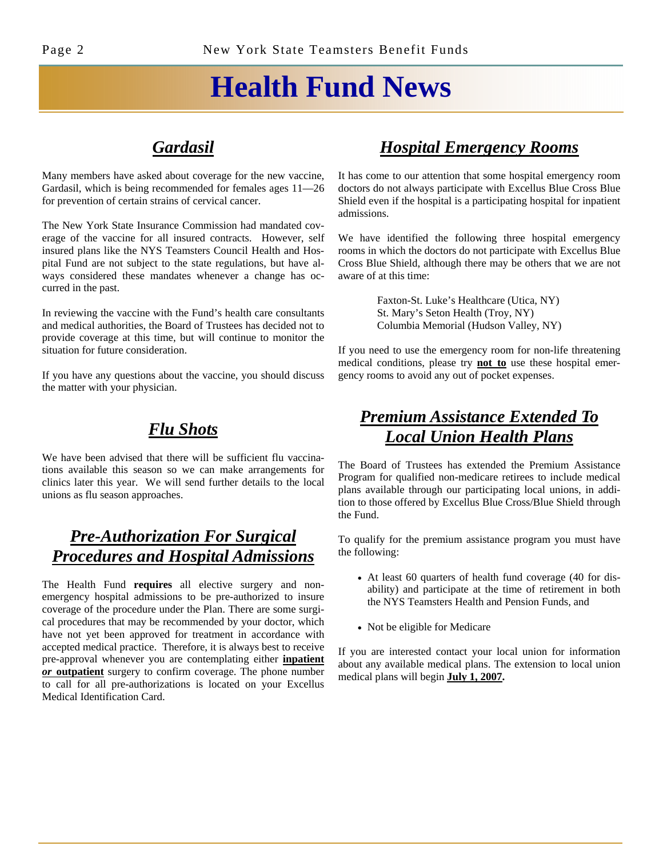## **Health Fund News**

#### *Gardasil*

Many members have asked about coverage for the new vaccine, Gardasil, which is being recommended for females ages 11—26 for prevention of certain strains of cervical cancer.

The New York State Insurance Commission had mandated coverage of the vaccine for all insured contracts. However, self insured plans like the NYS Teamsters Council Health and Hospital Fund are not subject to the state regulations, but have always considered these mandates whenever a change has occurred in the past.

In reviewing the vaccine with the Fund's health care consultants and medical authorities, the Board of Trustees has decided not to provide coverage at this time, but will continue to monitor the situation for future consideration.

If you have any questions about the vaccine, you should discuss the matter with your physician.

#### *Flu Shots*

We have been advised that there will be sufficient flu vaccinations available this season so we can make arrangements for clinics later this year. We will send further details to the local unions as flu season approaches.

#### *Pre-Authorization For Surgical Procedures and Hospital Admissions*

The Health Fund **requires** all elective surgery and nonemergency hospital admissions to be pre-authorized to insure coverage of the procedure under the Plan. There are some surgical procedures that may be recommended by your doctor, which have not yet been approved for treatment in accordance with accepted medical practice. Therefore, it is always best to receive pre-approval whenever you are contemplating either **inpatient**  *or* **outpatient** surgery to confirm coverage. The phone number to call for all pre-authorizations is located on your Excellus Medical Identification Card.

#### *Hospital Emergency Rooms*

It has come to our attention that some hospital emergency room doctors do not always participate with Excellus Blue Cross Blue Shield even if the hospital is a participating hospital for inpatient admissions.

We have identified the following three hospital emergency rooms in which the doctors do not participate with Excellus Blue Cross Blue Shield, although there may be others that we are not aware of at this time:

> Faxton-St. Luke's Healthcare (Utica, NY) St. Mary's Seton Health (Troy, NY) Columbia Memorial (Hudson Valley, NY)

If you need to use the emergency room for non-life threatening medical conditions, please try **not to** use these hospital emergency rooms to avoid any out of pocket expenses.

#### *Premium Assistance Extended To Local Union Health Plans*

The Board of Trustees has extended the Premium Assistance Program for qualified non-medicare retirees to include medical plans available through our participating local unions, in addition to those offered by Excellus Blue Cross/Blue Shield through the Fund.

To qualify for the premium assistance program you must have the following:

- At least 60 quarters of health fund coverage (40 for disability) and participate at the time of retirement in both the NYS Teamsters Health and Pension Funds, and
- Not be eligible for Medicare

If you are interested contact your local union for information about any available medical plans. The extension to local union medical plans will begin **July 1, 2007.**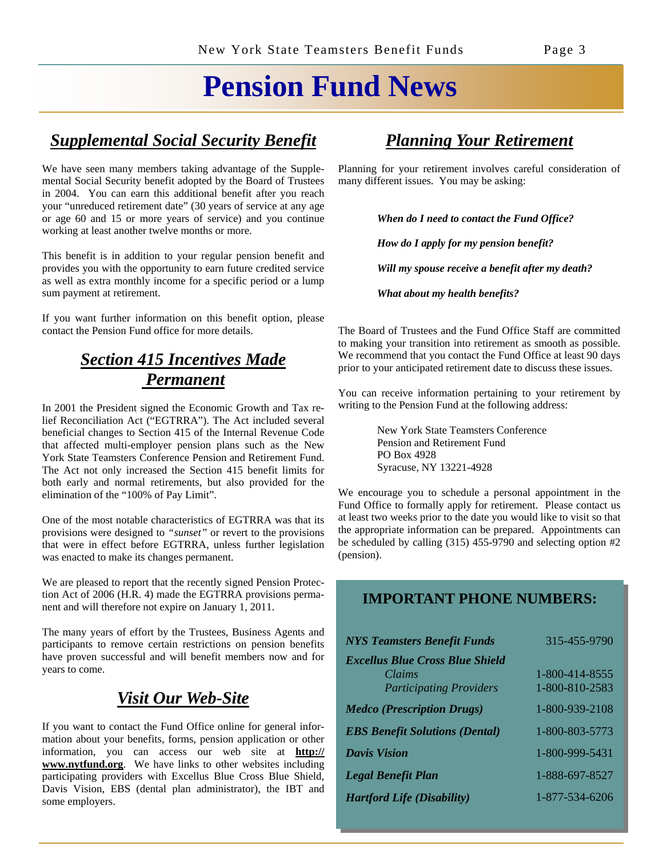### **Pension Fund News**

#### *Supplemental Social Security Benefit*

We have seen many members taking advantage of the Supplemental Social Security benefit adopted by the Board of Trustees in 2004. You can earn this additional benefit after you reach your "unreduced retirement date" (30 years of service at any age or age 60 and 15 or more years of service) and you continue working at least another twelve months or more.

This benefit is in addition to your regular pension benefit and provides you with the opportunity to earn future credited service as well as extra monthly income for a specific period or a lump sum payment at retirement.

If you want further information on this benefit option, please contact the Pension Fund office for more details.

#### *Section 415 Incentives Made Permanent*

In 2001 the President signed the Economic Growth and Tax relief Reconciliation Act ("EGTRRA"). The Act included several beneficial changes to Section 415 of the Internal Revenue Code that affected multi-employer pension plans such as the New York State Teamsters Conference Pension and Retirement Fund. The Act not only increased the Section 415 benefit limits for both early and normal retirements, but also provided for the elimination of the "100% of Pay Limit".

One of the most notable characteristics of EGTRRA was that its provisions were designed to *"sunset"* or revert to the provisions that were in effect before EGTRRA, unless further legislation was enacted to make its changes permanent.

We are pleased to report that the recently signed Pension Protection Act of 2006 (H.R. 4) made the EGTRRA provisions permanent and will therefore not expire on January 1, 2011.

The many years of effort by the Trustees, Business Agents and participants to remove certain restrictions on pension benefits have proven successful and will benefit members now and for years to come.

#### *Visit Our Web-Site*

If you want to contact the Fund Office online for general information about your benefits, forms, pension application or other information, you can access our web site at **http:// www.nytfund.org**. We have links to other websites including participating providers with Excellus Blue Cross Blue Shield, Davis Vision, EBS (dental plan administrator), the IBT and some employers.

#### *Planning Your Retirement*

Planning for your retirement involves careful consideration of many different issues. You may be asking:

*When do I need to contact the Fund Office?* 

*How do I apply for my pension benefit?* 

*Will my spouse receive a benefit after my death?* 

*What about my health benefits?*

The Board of Trustees and the Fund Office Staff are committed to making your transition into retirement as smooth as possible. We recommend that you contact the Fund Office at least 90 days prior to your anticipated retirement date to discuss these issues.

You can receive information pertaining to your retirement by writing to the Pension Fund at the following address:

> New York State Teamsters Conference Pension and Retirement Fund PO Box 4928 Syracuse, NY 13221-4928

We encourage you to schedule a personal appointment in the Fund Office to formally apply for retirement. Please contact us at least two weeks prior to the date you would like to visit so that the appropriate information can be prepared. Appointments can be scheduled by calling (315) 455-9790 and selecting option #2 (pension).

#### **IMPORTANT PHONE NUMBERS:**

| <b>NYS Teamsters Benefit Funds</b>     | 315-455-9790   |
|----------------------------------------|----------------|
| <b>Excellus Blue Cross Blue Shield</b> |                |
| Claims                                 | 1-800-414-8555 |
| <b>Participating Providers</b>         | 1-800-810-2583 |
| <b>Medco</b> (Prescription Drugs)      | 1-800-939-2108 |
| <b>EBS Benefit Solutions (Dental)</b>  | 1-800-803-5773 |
| <b>Davis Vision</b>                    | 1-800-999-5431 |
| <b>Legal Benefit Plan</b>              | 1-888-697-8527 |
| <b>Hartford Life (Disability)</b>      | 1-877-534-6206 |